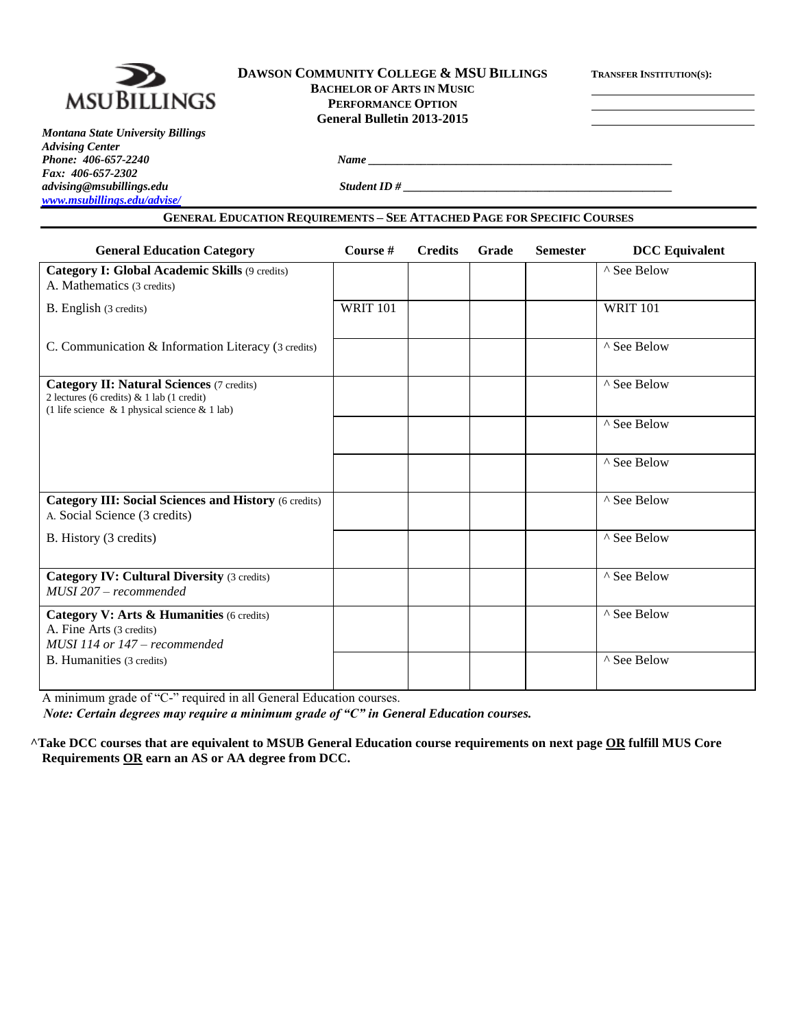

### **DAWSON COMMUNITY COLLEGE & MSU BILLINGS TRANSFER INSTITUTION(S): BACHELOR OF ARTS IN MUSIC PERFORMANCE OPTION General Bulletin 2013-2015**

*Montana State University Billings Advising Center Phone: 406-657-2240 Name \_\_\_\_\_\_\_\_\_\_\_\_\_\_\_\_\_\_\_\_\_\_\_\_\_\_\_\_\_\_\_\_\_\_\_\_\_\_\_\_\_\_\_\_\_\_\_\_\_\_\_\_ Fax: 406-657-2302 [www.msubillings.edu/advise/](http://www.msubillings.edu/advise/)*

*advising@msubillings.edu Student ID # \_\_\_\_\_\_\_\_\_\_\_\_\_\_\_\_\_\_\_\_\_\_\_\_\_\_\_\_\_\_\_\_\_\_\_\_\_\_\_\_\_\_\_\_\_\_*

## **GENERAL EDUCATION REQUIREMENTS – SEE ATTACHED PAGE FOR SPECIFIC COURSES**

| <b>General Education Category</b>                                                                                                                | Course #        | <b>Credits</b> | Grade | <b>Semester</b> | <b>DCC</b> Equivalent |
|--------------------------------------------------------------------------------------------------------------------------------------------------|-----------------|----------------|-------|-----------------|-----------------------|
| Category I: Global Academic Skills (9 credits)<br>A. Mathematics (3 credits)                                                                     |                 |                |       |                 | ^ See Below           |
| B. English (3 credits)                                                                                                                           | <b>WRIT 101</b> |                |       |                 | <b>WRIT 101</b>       |
| C. Communication & Information Literacy (3 credits)                                                                                              |                 |                |       |                 | ^ See Below           |
| <b>Category II: Natural Sciences (7 credits)</b><br>2 lectures (6 credits) $& 1$ lab (1 credit)<br>(1 life science & 1 physical science & 1 lab) |                 |                |       |                 | ^ See Below           |
|                                                                                                                                                  |                 |                |       |                 | ^ See Below           |
|                                                                                                                                                  |                 |                |       |                 | ^ See Below           |
| <b>Category III: Social Sciences and History (6 credits)</b><br>A. Social Science (3 credits)                                                    |                 |                |       |                 | ^ See Below           |
| B. History (3 credits)                                                                                                                           |                 |                |       |                 | ^ See Below           |
| <b>Category IV: Cultural Diversity (3 credits)</b><br>MUSI 207 - recommended                                                                     |                 |                |       |                 | ^ See Below           |
| Category V: Arts & Humanities (6 credits)<br>A. Fine Arts (3 credits)<br>$MUSI$ 114 or 147 – recommended                                         |                 |                |       |                 | ^ See Below           |
| B. Humanities (3 credits)                                                                                                                        |                 |                |       |                 | ^ See Below           |

A minimum grade of "C-" required in all General Education courses.

*Note: Certain degrees may require a minimum grade of "C" in General Education courses.*

**^Take DCC courses that are equivalent to MSUB General Education course requirements on next page OR fulfill MUS Core Requirements OR earn an AS or AA degree from DCC.**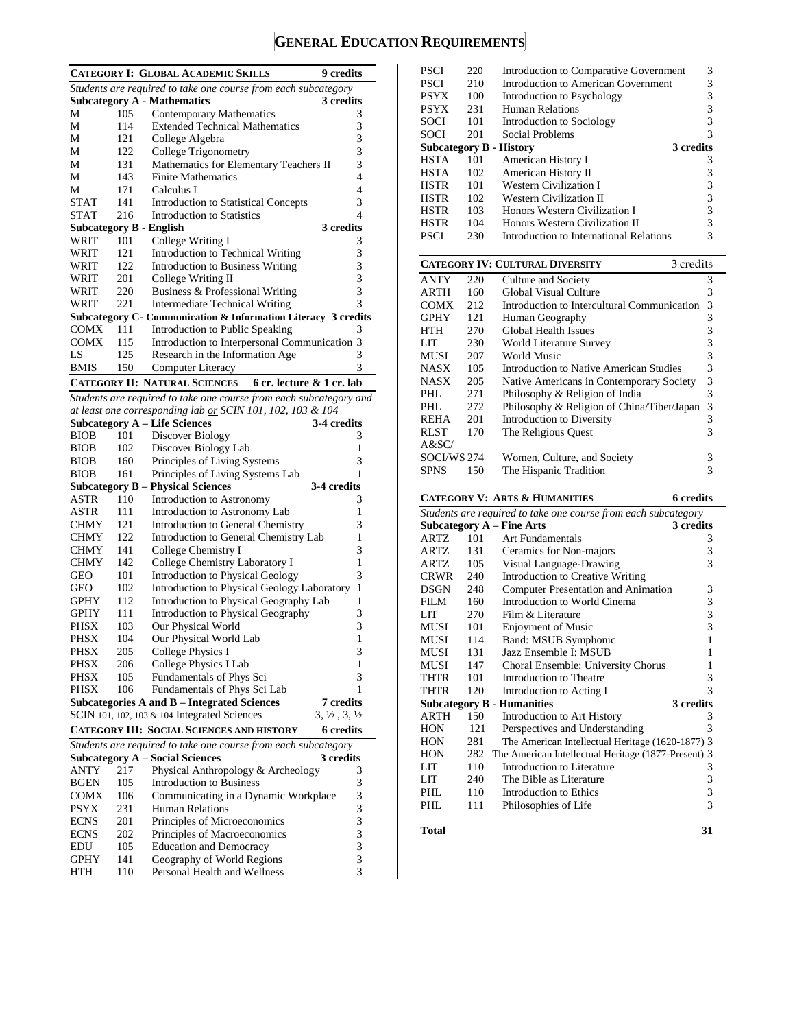# **GENERAL EDUCATION REQUIREMENTS**

|                                |            | <b>CATEGORY I: GLOBAL ACADEMIC SKILLS</b>                                                          | 9 credits                                  |
|--------------------------------|------------|----------------------------------------------------------------------------------------------------|--------------------------------------------|
|                                |            | Students are required to take one course from each subcategory                                     |                                            |
|                                |            | <b>Subcategory A - Mathematics</b>                                                                 | 3 credits                                  |
| М                              | 105        | <b>Contemporary Mathematics</b>                                                                    | 3                                          |
| М                              | 114        | <b>Extended Technical Mathematics</b>                                                              | 3                                          |
| М                              | 121        | College Algebra                                                                                    | 3                                          |
| М                              | 122        | College Trigonometry                                                                               | 3                                          |
| М                              | 131        | Mathematics for Elementary Teachers II                                                             | 3                                          |
| М                              | 143        | <b>Finite Mathematics</b>                                                                          | 4                                          |
| М                              | 171        | Calculus I                                                                                         | 4                                          |
| STAT                           | 141        | <b>Introduction to Statistical Concepts</b>                                                        | 3                                          |
| <b>STAT</b>                    | 216        | <b>Introduction to Statistics</b>                                                                  | 4                                          |
| <b>Subcategory B - English</b> |            |                                                                                                    | 3 credits                                  |
| WRIT                           | 101        | College Writing I                                                                                  | 3                                          |
| WRIT                           | 121        | Introduction to Technical Writing                                                                  | 3                                          |
| WRIT                           | 122        | <b>Introduction to Business Writing</b>                                                            | 3                                          |
| WRIT                           | 201        | College Writing II                                                                                 | 3                                          |
| WRIT                           | 220        | Business & Professional Writing                                                                    | 3                                          |
| WRIT                           | 221        | <b>Intermediate Technical Writing</b>                                                              | 3                                          |
|                                |            | Subcategory C- Communication & Information Literacy 3 credits                                      |                                            |
| <b>COMX</b>                    | 111        | Introduction to Public Speaking                                                                    | 3                                          |
| <b>COMX</b>                    | 115        | Introduction to Interpersonal Communication 3                                                      |                                            |
| LS                             | 125        | Research in the Information Age                                                                    | 3                                          |
| <b>BMIS</b>                    | 150        | Computer Literacy                                                                                  | 3                                          |
|                                |            | <b>CATEGORY II: NATURAL SCIENCES</b><br>6 cr. lecture & 1 cr. lab                                  |                                            |
|                                |            | Students are required to take one course from each subcategory and                                 |                                            |
|                                |            | at least one corresponding lab or SCIN 101, 102, 103 & 104                                         |                                            |
|                                |            | <b>Subcategory A – Life Sciences</b>                                                               | 3-4 credits                                |
| <b>BIOB</b>                    | 101        | Discover Biology                                                                                   | 3                                          |
| <b>BIOB</b>                    | 102        | Discover Biology Lab                                                                               | 1                                          |
| <b>BIOB</b>                    | 160        | Principles of Living Systems                                                                       | 3                                          |
| <b>BIOB</b>                    | 161        | Principles of Living Systems Lab                                                                   | 1                                          |
|                                |            | <b>Subcategory B - Physical Sciences</b>                                                           | 3-4 credits                                |
| ASTR                           | 110        | Introduction to Astronomy                                                                          | 3                                          |
| ASTR                           | 111        | Introduction to Astronomy Lab                                                                      | 1                                          |
| <b>CHMY</b>                    | 121        | Introduction to General Chemistry                                                                  | 3                                          |
| <b>CHMY</b>                    | 122        | Introduction to General Chemistry Lab                                                              | 1                                          |
| <b>CHMY</b>                    | 141        | College Chemistry I                                                                                | 3                                          |
| <b>CHMY</b>                    | 142        | College Chemistry Laboratory I                                                                     | 1                                          |
| GEO                            | 101        | Introduction to Physical Geology                                                                   | 3                                          |
| <b>GEO</b>                     | 102        | Introduction to Physical Geology Laboratory                                                        | 1                                          |
| GPHY                           | 112        | Introduction to Physical Geography Lab                                                             | 1                                          |
| GPHY                           | 111        | Introduction to Physical Geography<br>Our Physical World                                           | 3<br>3                                     |
| <b>PHSX</b><br><b>PHSX</b>     | 103<br>104 | Our Physical World Lab                                                                             | 1                                          |
|                                |            |                                                                                                    |                                            |
| PHSX                           | 205<br>206 | College Physics I<br>College Physics I Lab                                                         | 3<br>1                                     |
| PHSX                           | 105        |                                                                                                    | 3                                          |
| PHSX<br><b>PHSX</b>            |            | Fundamentals of Phys Sci                                                                           | 1                                          |
|                                | 106        | Fundamentals of Phys Sci Lab                                                                       | <b>7</b> credits                           |
|                                |            | <b>Subcategories A and B - Integrated Sciences</b><br>SCIN 101, 102, 103 & 104 Integrated Sciences | $3, \frac{1}{2}, 3, \frac{1}{2}$           |
|                                |            | CATEGORY III: SOCIAL SCIENCES AND HISTORY                                                          | 6 credits                                  |
|                                |            | Students are required to take one course from each subcategory                                     |                                            |
|                                |            | Subcategory A – Social Sciences                                                                    | 3 credits                                  |
| ANTY                           | 217        | Physical Anthropology & Archeology                                                                 | 3                                          |
| <b>BGEN</b>                    | 105        | <b>Introduction to Business</b>                                                                    | 3                                          |
| <b>COMX</b>                    | 106        | Communicating in a Dynamic Workplace                                                               | 3                                          |
| PSYX                           | 231        | <b>Human Relations</b>                                                                             |                                            |
| <b>ECNS</b>                    | 201        | Principles of Microeconomics                                                                       | $\begin{array}{c} 3 \\ 3 \\ 3 \end{array}$ |
| <b>ECNS</b>                    | 202        | Principles of Macroeconomics                                                                       |                                            |
| EDU                            | 105        | <b>Education and Democracy</b>                                                                     |                                            |
| GPHY                           | 141        | Geography of World Regions                                                                         | $\frac{3}{3}$                              |
| HTH                            | 110        | Personal Health and Wellness                                                                       | 3                                          |
|                                |            |                                                                                                    |                                            |

| <b>PSCI</b>                                 | 220 | Introduction to Comparative Government  | 3 |
|---------------------------------------------|-----|-----------------------------------------|---|
| <b>PSCI</b>                                 | 210 | Introduction to American Government     | 3 |
| <b>PSYX</b>                                 | 100 | Introduction to Psychology              | 3 |
| <b>PSYX</b>                                 | 231 | <b>Human Relations</b>                  | 3 |
| <b>SOCI</b>                                 | 101 | Introduction to Sociology               | 3 |
| <b>SOCI</b>                                 | 201 | Social Problems                         | 3 |
| 3 credits<br><b>Subcategory B - History</b> |     |                                         |   |
| <b>HSTA</b>                                 | 101 | American History I                      | 3 |
| <b>HSTA</b>                                 | 102 | American History II                     | 3 |
| <b>HSTR</b>                                 | 101 | <b>Western Civilization I</b>           | 3 |
| <b>HSTR</b>                                 | 102 | <b>Western Civilization II</b>          | 3 |
| <b>HSTR</b>                                 | 103 | Honors Western Civilization I           | 3 |
| <b>HSTR</b>                                 | 104 | Honors Western Civilization II          | 3 |
| PSCI                                        | 230 | Introduction to International Relations | 3 |

|             |     | <b>CATEGORY IV: CULTURAL DIVERSITY</b><br>3 credits |   |
|-------------|-----|-----------------------------------------------------|---|
| <b>ANTY</b> | 220 | Culture and Society                                 | 3 |
| ARTH        | 160 | Global Visual Culture                               | 3 |
| <b>COMX</b> | 212 | Introduction to Intercultural Communication         | 3 |
| <b>GPHY</b> | 121 | Human Geography                                     | 3 |
| HTH         | 270 | Global Health Issues                                | 3 |
| LIT         | 230 | World Literature Survey                             | 3 |
| MUSI        | 207 | World Music                                         | 3 |
| <b>NASX</b> | 105 | Introduction to Native American Studies             | 3 |
| <b>NASX</b> | 205 | Native Americans in Contemporary Society            | 3 |
| PHL.        | 271 | Philosophy & Religion of India                      | 3 |
| PHL         | 272 | Philosophy & Religion of China/Tibet/Japan          | 3 |
| <b>REHA</b> | 201 | Introduction to Diversity                           | 3 |
| <b>RLST</b> | 170 | The Religious Quest                                 | 3 |
| A&SC/       |     |                                                     |   |
| SOCI/WS 274 |     | Women, Culture, and Society                         | 3 |
| SPNS        | 150 | The Hispanic Tradition                              | 3 |

# **CATEGORY V: ARTS & HUMANITIES 6 credits**

| Students are required to take one course from each subcategory |     |                                                     |           |  |  |
|----------------------------------------------------------------|-----|-----------------------------------------------------|-----------|--|--|
|                                                                |     | Subcategory $A$ – Fine Arts                         | 3 credits |  |  |
| <b>ARTZ</b>                                                    | 101 | <b>Art Fundamentals</b>                             | 3         |  |  |
| <b>ARTZ</b>                                                    | 131 | Ceramics for Non-majors                             | 3         |  |  |
| <b>ARTZ</b>                                                    | 105 | Visual Language-Drawing                             | 3         |  |  |
| <b>CRWR</b>                                                    | 240 | Introduction to Creative Writing                    |           |  |  |
| <b>DSGN</b>                                                    | 248 | <b>Computer Presentation and Animation</b>          | 3         |  |  |
| FILM                                                           | 160 | Introduction to World Cinema                        | 3         |  |  |
| LIT                                                            | 270 | Film & Literature                                   | 3         |  |  |
| MUSI                                                           | 101 | <b>Enjoyment of Music</b>                           | 3         |  |  |
| <b>MUSI</b>                                                    | 114 | Band: MSUB Symphonic                                | 1         |  |  |
| MUSI                                                           | 131 | Jazz Ensemble I: MSUB                               | 1         |  |  |
| <b>MUSI</b>                                                    | 147 | Choral Ensemble: University Chorus                  | 1         |  |  |
| <b>THTR</b>                                                    | 101 | Introduction to Theatre                             | 3         |  |  |
| <b>THTR</b>                                                    | 120 | Introduction to Acting I                            | 3         |  |  |
|                                                                |     | <b>Subcategory B - Humanities</b>                   | 3 credits |  |  |
| <b>ARTH</b>                                                    | 150 | Introduction to Art History                         | 3         |  |  |
| <b>HON</b>                                                     | 121 | Perspectives and Understanding                      | 3         |  |  |
| HON                                                            | 281 | The American Intellectual Heritage (1620-1877) 3    |           |  |  |
| <b>HON</b>                                                     | 282 | The American Intellectual Heritage (1877-Present) 3 |           |  |  |
| LIT                                                            | 110 | Introduction to Literature                          | 3         |  |  |
| LIT                                                            | 240 | The Bible as Literature                             | 3         |  |  |
| PHI.                                                           | 110 | Introduction to Ethics                              | 3         |  |  |
| PHI.                                                           | 111 | Philosophies of Life                                | 3         |  |  |
|                                                                |     |                                                     |           |  |  |
| Total                                                          |     |                                                     | 31        |  |  |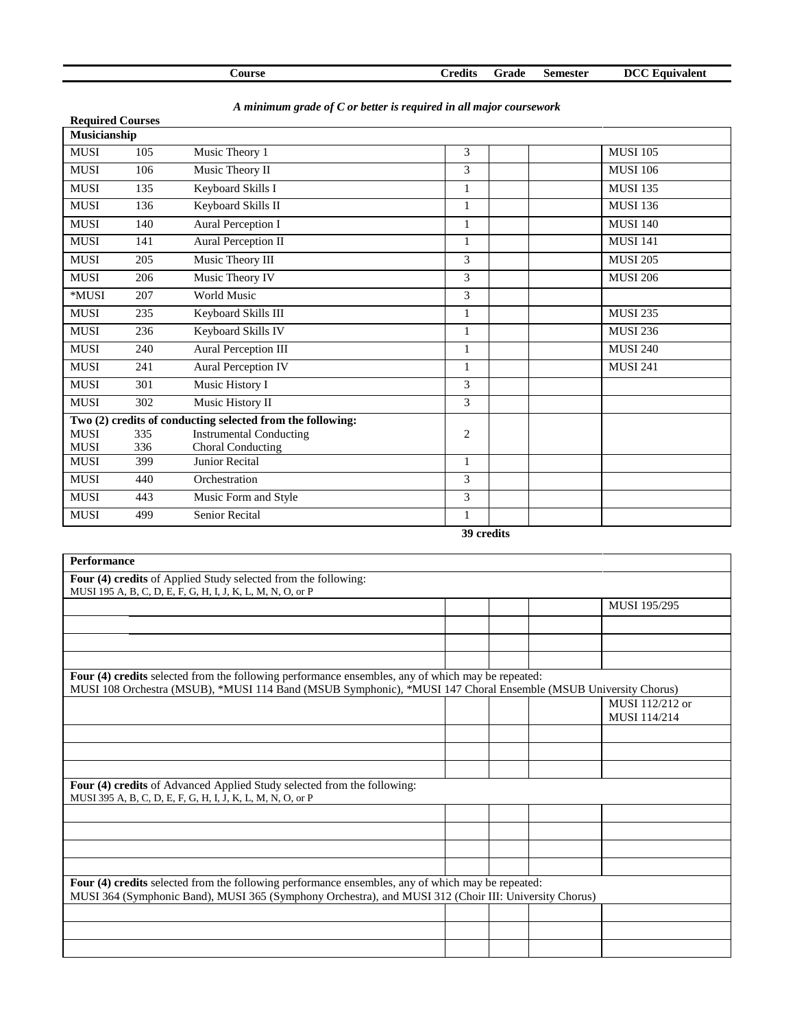| <b>Course</b><br><b>Credits</b> | Grade | Semester | DCC E<br>Equivalent |
|---------------------------------|-------|----------|---------------------|
|---------------------------------|-------|----------|---------------------|

| <b>Required Courses</b> |     |                                                            |                |                 |
|-------------------------|-----|------------------------------------------------------------|----------------|-----------------|
| Musicianship            |     |                                                            |                |                 |
| <b>MUSI</b>             | 105 | Music Theory 1                                             | 3              | <b>MUSI 105</b> |
| <b>MUSI</b>             | 106 | Music Theory II                                            | 3              | <b>MUSI 106</b> |
| <b>MUSI</b>             | 135 | Keyboard Skills I                                          | 1              | <b>MUSI 135</b> |
| <b>MUSI</b>             | 136 | Keyboard Skills II                                         | 1              | <b>MUSI 136</b> |
| <b>MUSI</b>             | 140 | Aural Perception I                                         | 1              | <b>MUSI 140</b> |
| <b>MUSI</b>             | 141 | Aural Perception II                                        | 1              | <b>MUSI 141</b> |
| <b>MUSI</b>             | 205 | Music Theory III                                           | 3              | <b>MUSI 205</b> |
| <b>MUSI</b>             | 206 | Music Theory IV                                            | 3              | <b>MUSI 206</b> |
| *MUSI                   | 207 | <b>World Music</b>                                         | 3              |                 |
| <b>MUSI</b>             | 235 | Keyboard Skills III                                        | $\mathbf{1}$   | <b>MUSI 235</b> |
| <b>MUSI</b>             | 236 | Keyboard Skills IV                                         | 1              | <b>MUSI 236</b> |
| <b>MUSI</b>             | 240 | <b>Aural Perception III</b>                                | 1              | <b>MUSI 240</b> |
| <b>MUSI</b>             | 241 | <b>Aural Perception IV</b>                                 | 1              | <b>MUSI 241</b> |
| <b>MUSI</b>             | 301 | Music History I                                            | 3              |                 |
| <b>MUSI</b>             | 302 | Music History II                                           | 3              |                 |
|                         |     | Two (2) credits of conducting selected from the following: |                |                 |
| <b>MUSI</b>             | 335 | <b>Instrumental Conducting</b>                             | $\overline{c}$ |                 |
| <b>MUSI</b>             | 336 | Choral Conducting                                          |                |                 |
| <b>MUSI</b>             | 399 | <b>Junior Recital</b>                                      | 1              |                 |
| <b>MUSI</b>             | 440 | Orchestration                                              | 3              |                 |
| <b>MUSI</b>             | 443 | Music Form and Style                                       | 3              |                 |
| <b>MUSI</b>             | 499 | <b>Senior Recital</b>                                      | 1              |                 |

*A minimum grade of C or better is required in all major coursework*

**39 credits**

| <b>Performance</b>                                                                                                                                                                                                  |  |                 |
|---------------------------------------------------------------------------------------------------------------------------------------------------------------------------------------------------------------------|--|-----------------|
| Four (4) credits of Applied Study selected from the following:<br>MUSI 195 A, B, C, D, E, F, G, H, I, J, K, L, M, N, O, or P                                                                                        |  |                 |
|                                                                                                                                                                                                                     |  | MUSI 195/295    |
|                                                                                                                                                                                                                     |  |                 |
|                                                                                                                                                                                                                     |  |                 |
|                                                                                                                                                                                                                     |  |                 |
| Four (4) credits selected from the following performance ensembles, any of which may be repeated:<br>MUSI 108 Orchestra (MSUB), *MUSI 114 Band (MSUB Symphonic), *MUSI 147 Choral Ensemble (MSUB University Chorus) |  |                 |
|                                                                                                                                                                                                                     |  | MUSI 112/212 or |
|                                                                                                                                                                                                                     |  | MUSI 114/214    |
|                                                                                                                                                                                                                     |  |                 |
|                                                                                                                                                                                                                     |  |                 |
|                                                                                                                                                                                                                     |  |                 |
| Four (4) credits of Advanced Applied Study selected from the following:<br>MUSI 395 A, B, C, D, E, F, G, H, I, J, K, L, M, N, O, or P                                                                               |  |                 |
|                                                                                                                                                                                                                     |  |                 |
|                                                                                                                                                                                                                     |  |                 |
|                                                                                                                                                                                                                     |  |                 |
|                                                                                                                                                                                                                     |  |                 |
| Four (4) credits selected from the following performance ensembles, any of which may be repeated:<br>MUSI 364 (Symphonic Band), MUSI 365 (Symphony Orchestra), and MUSI 312 (Choir III: University Chorus)          |  |                 |
|                                                                                                                                                                                                                     |  |                 |
|                                                                                                                                                                                                                     |  |                 |
|                                                                                                                                                                                                                     |  |                 |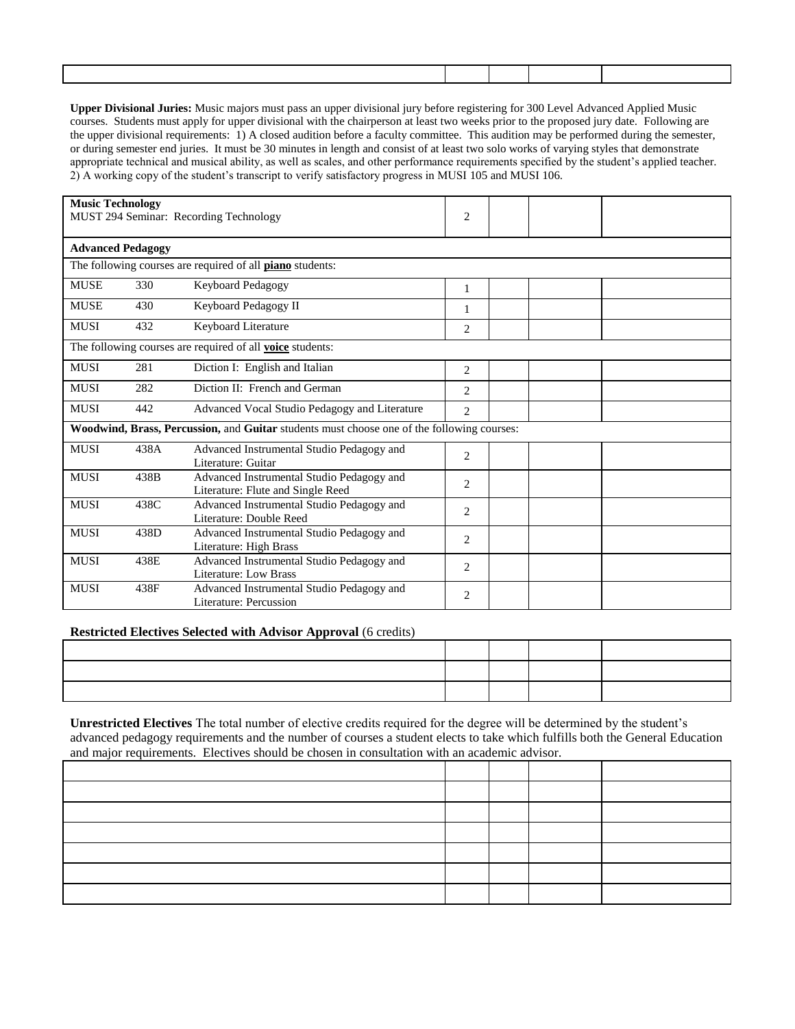**Upper Divisional Juries:** Music majors must pass an upper divisional jury before registering for 300 Level Advanced Applied Music courses. Students must apply for upper divisional with the chairperson at least two weeks prior to the proposed jury date. Following are the upper divisional requirements: 1) A closed audition before a faculty committee. This audition may be performed during the semester, or during semester end juries. It must be 30 minutes in length and consist of at least two solo works of varying styles that demonstrate appropriate technical and musical ability, as well as scales, and other performance requirements specified by the student's applied teacher. 2) A working copy of the student's transcript to verify satisfactory progress in MUSI 105 and MUSI 106.

| <b>Music Technology</b><br>MUST 294 Seminar: Recording Technology |                          |                                                                                                   | 2              |  |  |
|-------------------------------------------------------------------|--------------------------|---------------------------------------------------------------------------------------------------|----------------|--|--|
|                                                                   | <b>Advanced Pedagogy</b> |                                                                                                   |                |  |  |
|                                                                   |                          | The following courses are required of all <b>piano</b> students:                                  |                |  |  |
| <b>MUSE</b>                                                       | 330                      | Keyboard Pedagogy                                                                                 | 1              |  |  |
| <b>MUSE</b>                                                       | 430                      | Keyboard Pedagogy II                                                                              | 1              |  |  |
| <b>MUSI</b>                                                       | 432                      | Keyboard Literature                                                                               | 2              |  |  |
|                                                                   |                          | The following courses are required of all voice students:                                         |                |  |  |
| <b>MUSI</b>                                                       | 281                      | Diction I: English and Italian                                                                    | $\overline{2}$ |  |  |
| <b>MUSI</b>                                                       | 282                      | Diction II: French and German                                                                     | 2              |  |  |
| <b>MUSI</b>                                                       | 442                      | Advanced Vocal Studio Pedagogy and Literature                                                     | $\overline{2}$ |  |  |
|                                                                   |                          | <b>Woodwind, Brass, Percussion, and Guitar students must choose one of the following courses:</b> |                |  |  |
| <b>MUSI</b>                                                       | 438A                     | Advanced Instrumental Studio Pedagogy and<br>Literature: Guitar                                   | 2              |  |  |
| <b>MUSI</b>                                                       | 438B                     | Advanced Instrumental Studio Pedagogy and<br>Literature: Flute and Single Reed                    | 2              |  |  |
| <b>MUSI</b>                                                       | 438C                     | Advanced Instrumental Studio Pedagogy and<br>Literature: Double Reed                              | 2              |  |  |
| <b>MUSI</b>                                                       | 438D                     | Advanced Instrumental Studio Pedagogy and<br>Literature: High Brass                               | 2              |  |  |
| <b>MUSI</b>                                                       | 438E                     | Advanced Instrumental Studio Pedagogy and<br>Literature: Low Brass                                | 2              |  |  |
| <b>MUSI</b>                                                       | 438F                     | Advanced Instrumental Studio Pedagogy and<br>Literature: Percussion                               | $\overline{2}$ |  |  |

#### **Restricted Electives Selected with Advisor Approval** (6 credits)

**Unrestricted Electives** The total number of elective credits required for the degree will be determined by the student's advanced pedagogy requirements and the number of courses a student elects to take which fulfills both the General Education and major requirements. Electives should be chosen in consultation with an academic advisor.